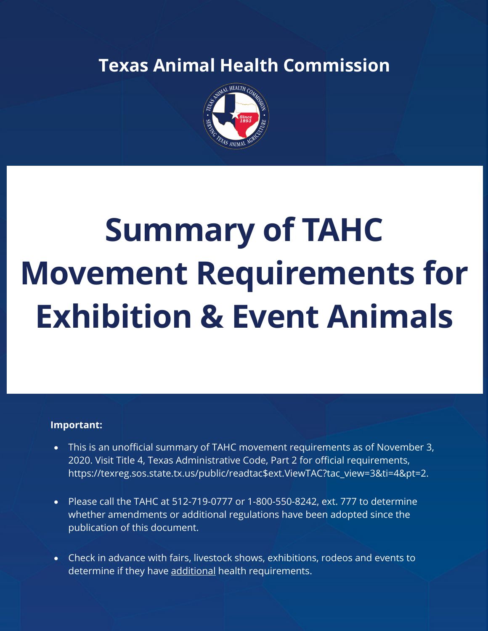### **Texas Animal Health Commission**



# **Summary of TAHC Movement Requirements for Exhibition & Event Animals**

#### **Important:**

- This is an unofficial summary of TAHC movement requirements as of November 3, 2020. Visit Title 4, Texas Administrative Code, Part 2 for official requirements, https://texreg.sos.state.tx.us/public/readtac\$ext.ViewTAC?tac\_view=3&ti=4&pt=2.
- Please call the TAHC at 512-719-0777 or 1-800-550-8242, ext. 777 to determine whether amendments or additional regulations have been adopted since the publication of this document.
- Check in advance with fairs, livestock shows, exhibitions, rodeos and events to determine if they have additional health requirements.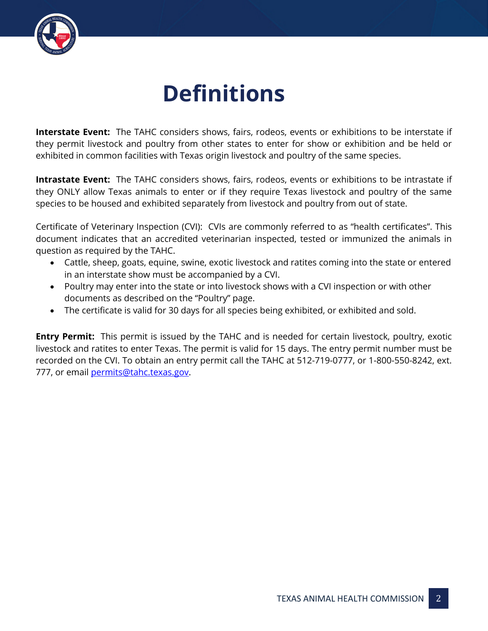

### **Definitions**

**Interstate Event:** The TAHC considers shows, fairs, rodeos, events or exhibitions to be interstate if they permit livestock and poultry from other states to enter for show or exhibition and be held or exhibited in common facilities with Texas origin livestock and poultry of the same species.

**Intrastate Event:** The TAHC considers shows, fairs, rodeos, events or exhibitions to be intrastate if they ONLY allow Texas animals to enter or if they require Texas livestock and poultry of the same species to be housed and exhibited separately from livestock and poultry from out of state.

Certificate of Veterinary Inspection (CVI): CVIs are commonly referred to as "health certificates". This document indicates that an accredited veterinarian inspected, tested or immunized the animals in question as required by the TAHC.

- Cattle, sheep, goats, equine, swine, exotic livestock and ratites coming into the state or entered in an interstate show must be accompanied by a CVI.
- Poultry may enter into the state or into livestock shows with a CVI inspection or with other documents as described on the "Poultry" page.
- The certificate is valid for 30 days for all species being exhibited, or exhibited and sold.

**Entry Permit:** This permit is issued by the TAHC and is needed for certain livestock, poultry, exotic livestock and ratites to enter Texas. The permit is valid for 15 days. The entry permit number must be recorded on the CVI. To obtain an entry permit call the TAHC at 512-719-0777, or 1-800-550-8242, ext. 777, or email permits@tahc.texas.gov.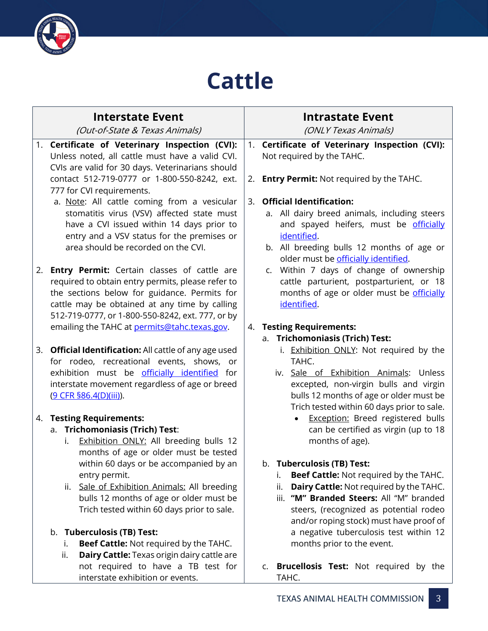

### **Cattle**

| <b>Interstate Event</b>                                                                                                                                                                                                                                                                                                                                                                 | <b>Intrastate Event</b>                                                                                                                                                                                                                                                                                                             |
|-----------------------------------------------------------------------------------------------------------------------------------------------------------------------------------------------------------------------------------------------------------------------------------------------------------------------------------------------------------------------------------------|-------------------------------------------------------------------------------------------------------------------------------------------------------------------------------------------------------------------------------------------------------------------------------------------------------------------------------------|
| (Out-of-State & Texas Animals)                                                                                                                                                                                                                                                                                                                                                          | (ONLY Texas Animals)                                                                                                                                                                                                                                                                                                                |
| 1. Certificate of Veterinary Inspection (CVI):<br>Unless noted, all cattle must have a valid CVI.<br>CVIs are valid for 30 days. Veterinarians should<br>contact 512-719-0777 or 1-800-550-8242, ext.                                                                                                                                                                                   | 1. Certificate of Veterinary Inspection (CVI):<br>Not required by the TAHC.<br><b>Entry Permit: Not required by the TAHC.</b><br>2.                                                                                                                                                                                                 |
| 777 for CVI requirements.<br>a. Note: All cattle coming from a vesicular<br>stomatitis virus (VSV) affected state must<br>have a CVI issued within 14 days prior to<br>entry and a VSV status for the premises or<br>area should be recorded on the CVI.                                                                                                                                | 3. Official Identification:<br>a. All dairy breed animals, including steers<br>and spayed heifers, must be officially<br>identified.<br>b. All breeding bulls 12 months of age or<br>older must be officially identified.                                                                                                           |
| 2. <b>Entry Permit:</b> Certain classes of cattle are<br>required to obtain entry permits, please refer to<br>the sections below for guidance. Permits for<br>cattle may be obtained at any time by calling<br>512-719-0777, or 1-800-550-8242, ext. 777, or by<br>emailing the TAHC at permits@tahc.texas.gov.                                                                         | c. Within 7 days of change of ownership<br>cattle parturient, postparturient, or 18<br>months of age or older must be officially<br>identified.<br>4. Testing Requirements:                                                                                                                                                         |
|                                                                                                                                                                                                                                                                                                                                                                                         | a. Trichomoniasis (Trich) Test:                                                                                                                                                                                                                                                                                                     |
| 3. Official Identification: All cattle of any age used<br>for rodeo, recreational events, shows, or<br>exhibition must be officially identified for<br>interstate movement regardless of age or breed<br>(9 CFR §86.4(D)(iii)).<br>4. Testing Requirements:<br>a. Trichomoniasis (Trich) Test:<br>Exhibition ONLY: All breeding bulls 12<br>i.<br>months of age or older must be tested | i. Exhibition ONLY: Not required by the<br>TAHC.<br>iv. Sale of Exhibition Animals: Unless<br>excepted, non-virgin bulls and virgin<br>bulls 12 months of age or older must be<br>Trich tested within 60 days prior to sale.<br><b>Exception:</b> Breed registered bulls<br>can be certified as virgin (up to 18<br>months of age). |
| within 60 days or be accompanied by an<br>entry permit.<br>Sale of Exhibition Animals: All breeding<br>ii.<br>bulls 12 months of age or older must be<br>Trich tested within 60 days prior to sale.<br>b. Tuberculosis (TB) Test:                                                                                                                                                       | <b>Tuberculosis (TB) Test:</b><br>b.<br>Beef Cattle: Not required by the TAHC.<br>i.<br>Dairy Cattle: Not required by the TAHC.<br>ii.<br>"M" Branded Steers: All "M" branded<br>iii.<br>steers, (recognized as potential rodeo<br>and/or roping stock) must have proof of<br>a negative tuberculosis test within 12                |
| <b>Beef Cattle: Not required by the TAHC.</b><br>i.                                                                                                                                                                                                                                                                                                                                     | months prior to the event.                                                                                                                                                                                                                                                                                                          |
| Dairy Cattle: Texas origin dairy cattle are<br>ii.<br>not required to have a TB test for                                                                                                                                                                                                                                                                                                | c. Brucellosis Test: Not required by the                                                                                                                                                                                                                                                                                            |
| interstate exhibition or events.                                                                                                                                                                                                                                                                                                                                                        | TAHC.                                                                                                                                                                                                                                                                                                                               |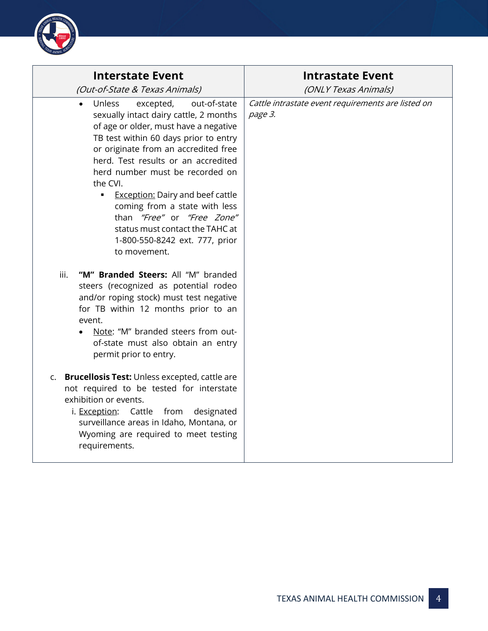

| <b>Interstate Event</b><br>(Out-of-State & Texas Animals)                                                                                                                                                                                                                                                                                                                                                                                                                                                      | <b>Intrastate Event</b><br>(ONLY Texas Animals)               |
|----------------------------------------------------------------------------------------------------------------------------------------------------------------------------------------------------------------------------------------------------------------------------------------------------------------------------------------------------------------------------------------------------------------------------------------------------------------------------------------------------------------|---------------------------------------------------------------|
| Unless<br>excepted,<br>out-of-state<br>$\bullet$<br>sexually intact dairy cattle, 2 months<br>of age or older, must have a negative<br>TB test within 60 days prior to entry<br>or originate from an accredited free<br>herd. Test results or an accredited<br>herd number must be recorded on<br>the CVI.<br><b>Exception: Dairy and beef cattle</b><br>٠<br>coming from a state with less<br>than "Free" or "Free Zone"<br>status must contact the TAHC at<br>1-800-550-8242 ext. 777, prior<br>to movement. | Cattle intrastate event requirements are listed on<br>page 3. |
| "M" Branded Steers: All "M" branded<br>iii.<br>steers (recognized as potential rodeo<br>and/or roping stock) must test negative<br>for TB within 12 months prior to an<br>event.<br>Note: "M" branded steers from out-<br>of-state must also obtain an entry<br>permit prior to entry.                                                                                                                                                                                                                         |                                                               |
| <b>Brucellosis Test: Unless excepted, cattle are</b><br>C.<br>not required to be tested for interstate<br>exhibition or events.<br>i. Exception: Cattle from<br>designated<br>surveillance areas in Idaho, Montana, or<br>Wyoming are required to meet testing<br>requirements.                                                                                                                                                                                                                                |                                                               |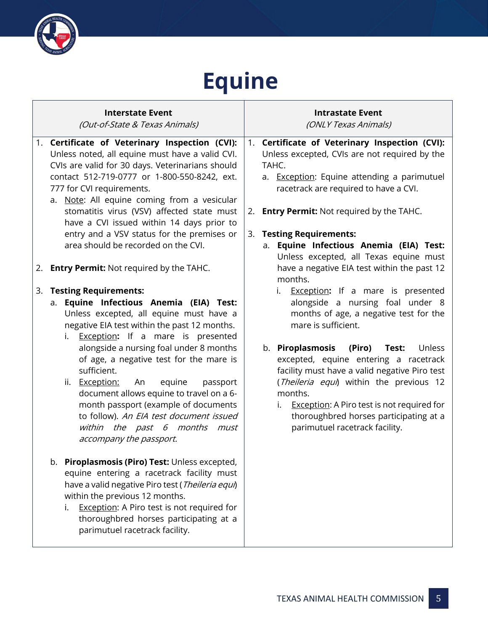

## **Equine**

|    | <b>Interstate Event</b><br>(Out-of-State & Texas Animals)                                                                                                                                                                                                                                                                                                                                                                                                                                                                                                                                                                                                                                                                                                                                                                                                                                                                                                                                                              | <b>Intrastate Event</b><br>(ONLY Texas Animals)                                                                                                                                                                                                                                                                                                                                                                                                                                                                                                                                                                                                                                                                                                                                                                                                                                     |
|----|------------------------------------------------------------------------------------------------------------------------------------------------------------------------------------------------------------------------------------------------------------------------------------------------------------------------------------------------------------------------------------------------------------------------------------------------------------------------------------------------------------------------------------------------------------------------------------------------------------------------------------------------------------------------------------------------------------------------------------------------------------------------------------------------------------------------------------------------------------------------------------------------------------------------------------------------------------------------------------------------------------------------|-------------------------------------------------------------------------------------------------------------------------------------------------------------------------------------------------------------------------------------------------------------------------------------------------------------------------------------------------------------------------------------------------------------------------------------------------------------------------------------------------------------------------------------------------------------------------------------------------------------------------------------------------------------------------------------------------------------------------------------------------------------------------------------------------------------------------------------------------------------------------------------|
| 3. | 1. Certificate of Veterinary Inspection (CVI):<br>Unless noted, all equine must have a valid CVI.<br>CVIs are valid for 30 days. Veterinarians should<br>contact 512-719-0777 or 1-800-550-8242, ext.<br>777 for CVI requirements.<br>a. Note: All equine coming from a vesicular<br>stomatitis virus (VSV) affected state must<br>have a CVI issued within 14 days prior to<br>entry and a VSV status for the premises or<br>area should be recorded on the CVI.<br>2. Entry Permit: Not required by the TAHC.<br><b>Testing Requirements:</b><br>a. Equine Infectious Anemia (EIA) Test:<br>Unless excepted, all equine must have a<br>negative EIA test within the past 12 months.<br>i. <b>Exception:</b> If a mare is presented<br>alongside a nursing foal under 8 months<br>of age, a negative test for the mare is<br>sufficient.<br>equine<br>passport<br>ii. Exception:<br>An<br>document allows equine to travel on a 6-<br>month passport (example of documents<br>to follow). An EIA test document issued | 1. Certificate of Veterinary Inspection (CVI):<br>Unless excepted, CVIs are not required by the<br>TAHC.<br>a. Exception: Equine attending a parimutuel<br>racetrack are required to have a CVI.<br>2. <b>Entry Permit:</b> Not required by the TAHC.<br>3. Testing Requirements:<br>Equine Infectious Anemia (EIA) Test:<br>а.<br>Unless excepted, all Texas equine must<br>have a negative EIA test within the past 12<br>months.<br>i. <b>Exception:</b> If a mare is presented<br>alongside a nursing foal under 8<br>months of age, a negative test for the<br>mare is sufficient.<br>b. Piroplasmosis<br>(Piro)<br>Unless<br>Test:<br>excepted, equine entering a racetrack<br>facility must have a valid negative Piro test<br>(Theileria equi) within the previous 12<br>months.<br>i. Exception: A Piro test is not required for<br>thoroughbred horses participating at a |
|    | within the past 6 months must<br>accompany the passport.<br>b. Piroplasmosis (Piro) Test: Unless excepted,<br>equine entering a racetrack facility must<br>have a valid negative Piro test (Theileria equi)<br>within the previous 12 months.<br>Exception: A Piro test is not required for<br>i.<br>thoroughbred horses participating at a<br>parimutuel racetrack facility.                                                                                                                                                                                                                                                                                                                                                                                                                                                                                                                                                                                                                                          | parimutuel racetrack facility.                                                                                                                                                                                                                                                                                                                                                                                                                                                                                                                                                                                                                                                                                                                                                                                                                                                      |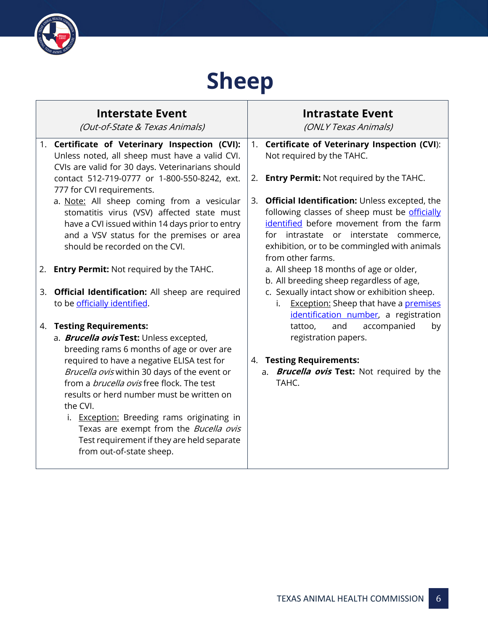

### **Sheep**

|    | <b>Interstate Event</b><br>(Out-of-State & Texas Animals)                                                                                                                                                                                                                                                                  |    | <b>Intrastate Event</b><br>(ONLY Texas Animals)                                                                                                                                                                                                           |
|----|----------------------------------------------------------------------------------------------------------------------------------------------------------------------------------------------------------------------------------------------------------------------------------------------------------------------------|----|-----------------------------------------------------------------------------------------------------------------------------------------------------------------------------------------------------------------------------------------------------------|
|    | 1. Certificate of Veterinary Inspection (CVI):<br>Unless noted, all sheep must have a valid CVI.<br>CVIs are valid for 30 days. Veterinarians should                                                                                                                                                                       | 1. | Certificate of Veterinary Inspection (CVI):<br>Not required by the TAHC.                                                                                                                                                                                  |
|    | contact 512-719-0777 or 1-800-550-8242, ext.<br>777 for CVI requirements.                                                                                                                                                                                                                                                  | 2. | <b>Entry Permit:</b> Not required by the TAHC.                                                                                                                                                                                                            |
|    | a. Note: All sheep coming from a vesicular<br>stomatitis virus (VSV) affected state must<br>have a CVI issued within 14 days prior to entry<br>and a VSV status for the premises or area<br>should be recorded on the CVI.                                                                                                 | 3. | Official Identification: Unless excepted, the<br>following classes of sheep must be officially<br>identified before movement from the farm<br>for intrastate or interstate commerce,<br>exhibition, or to be commingled with animals<br>from other farms. |
| 2. | <b>Entry Permit:</b> Not required by the TAHC.                                                                                                                                                                                                                                                                             |    | a. All sheep 18 months of age or older,<br>b. All breeding sheep regardless of age,                                                                                                                                                                       |
| 3. | <b>Official Identification:</b> All sheep are required<br>to be officially identified.                                                                                                                                                                                                                                     |    | c. Sexually intact show or exhibition sheep.<br><b>Exception: Sheep that have a premises</b><br>i.<br>identification number, a registration                                                                                                               |
| 4. | <b>Testing Requirements:</b><br>a. <b>Brucella ovis Test:</b> Unless excepted,<br>breeding rams 6 months of age or over are<br>required to have a negative ELISA test for<br>Brucella ovis within 30 days of the event or<br>from a <i>brucella ovis</i> free flock. The test<br>results or herd number must be written on |    | accompanied<br>tattoo,<br>and<br>by<br>registration papers.<br>4. Testing Requirements:<br>a. <b>Brucella ovis Test:</b> Not required by the<br>TAHC.                                                                                                     |
|    | the CVI.<br>i. Exception: Breeding rams originating in<br>Texas are exempt from the Bucella ovis<br>Test requirement if they are held separate<br>from out-of-state sheep.                                                                                                                                                 |    |                                                                                                                                                                                                                                                           |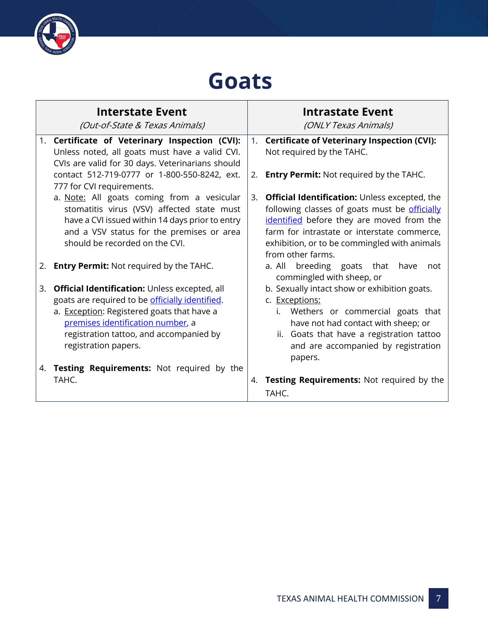

### **Goats**

|    | <b>Interstate Event</b><br>(Out-of-State & Texas Animals)                                                                                                                                                                                                     |    | <b>Intrastate Event</b><br>(ONLY Texas Animals)                                                                                                                                                                                                                        |
|----|---------------------------------------------------------------------------------------------------------------------------------------------------------------------------------------------------------------------------------------------------------------|----|------------------------------------------------------------------------------------------------------------------------------------------------------------------------------------------------------------------------------------------------------------------------|
| 1. | Certificate of Veterinary Inspection (CVI):<br>Unless noted, all goats must have a valid CVI.<br>CVIs are valid for 30 days. Veterinarians should                                                                                                             | 1. | <b>Certificate of Veterinary Inspection (CVI):</b><br>Not required by the TAHC.                                                                                                                                                                                        |
|    | contact 512-719-0777 or 1-800-550-8242, ext.<br>777 for CVI requirements.                                                                                                                                                                                     | 2. | <b>Entry Permit:</b> Not required by the TAHC.                                                                                                                                                                                                                         |
|    | a. Note: All goats coming from a vesicular<br>stomatitis virus (VSV) affected state must<br>have a CVI issued within 14 days prior to entry<br>and a VSV status for the premises or area<br>should be recorded on the CVI.                                    | 3. | <b>Official Identification:</b> Unless excepted, the<br>following classes of goats must be officially<br>identified before they are moved from the<br>farm for intrastate or interstate commerce,<br>exhibition, or to be commingled with animals<br>from other farms. |
|    | 2. Entry Permit: Not required by the TAHC.                                                                                                                                                                                                                    |    | a. All<br>breeding goats that<br>have<br>not<br>commingled with sheep, or                                                                                                                                                                                              |
| 3. | <b>Official Identification: Unless excepted, all</b><br>goats are required to be officially identified.<br>a. Exception: Registered goats that have a<br>premises identification number, a<br>registration tattoo, and accompanied by<br>registration papers. |    | b. Sexually intact show or exhibition goats.<br>c. Exceptions:<br>i. Wethers or commercial goats that<br>have not had contact with sheep; or<br>ii. Goats that have a registration tattoo<br>and are accompanied by registration<br>papers.                            |
|    | 4. Testing Requirements: Not required by the<br>TAHC.                                                                                                                                                                                                         | 4. | Testing Requirements: Not required by the<br>TAHC.                                                                                                                                                                                                                     |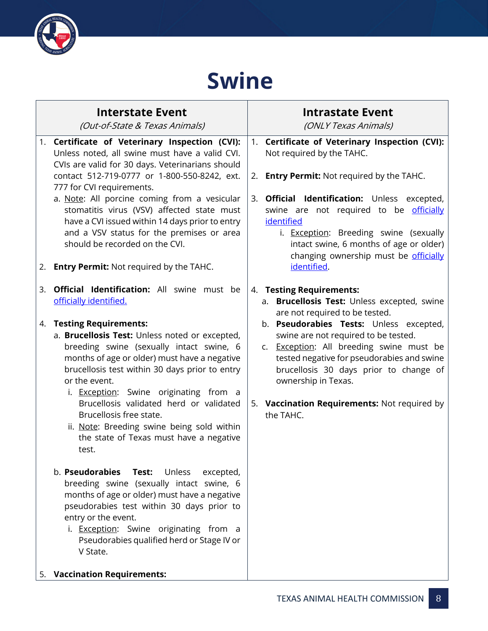

### **Swine**

|    | <b>Interstate Event</b><br>(Out-of-State & Texas Animals)                                                                                                                                                                                                                                                                                                                                                                                                                                                                                                                                                                                                                                                                                                                                                                                                                       | <b>Intrastate Event</b><br>(ONLY Texas Animals)                                                                                                                                                                                                                                                                                                                                                                      |
|----|---------------------------------------------------------------------------------------------------------------------------------------------------------------------------------------------------------------------------------------------------------------------------------------------------------------------------------------------------------------------------------------------------------------------------------------------------------------------------------------------------------------------------------------------------------------------------------------------------------------------------------------------------------------------------------------------------------------------------------------------------------------------------------------------------------------------------------------------------------------------------------|----------------------------------------------------------------------------------------------------------------------------------------------------------------------------------------------------------------------------------------------------------------------------------------------------------------------------------------------------------------------------------------------------------------------|
|    | 1. Certificate of Veterinary Inspection (CVI):<br>Unless noted, all swine must have a valid CVI.<br>CVIs are valid for 30 days. Veterinarians should<br>contact 512-719-0777 or 1-800-550-8242, ext.<br>777 for CVI requirements.<br>a. Note: All porcine coming from a vesicular<br>stomatitis virus (VSV) affected state must<br>have a CVI issued within 14 days prior to entry<br>and a VSV status for the premises or area<br>should be recorded on the CVI.<br>2. Entry Permit: Not required by the TAHC.                                                                                                                                                                                                                                                                                                                                                                 | 1. Certificate of Veterinary Inspection (CVI):<br>Not required by the TAHC.<br><b>Entry Permit:</b> Not required by the TAHC.<br>2.<br><b>Official Identification:</b> Unless excepted,<br>3.<br>swine are not required to be officially<br>identified<br>i. Exception: Breeding swine (sexually<br>intact swine, 6 months of age or older)<br>changing ownership must be officially<br>identified.                  |
| 3. | <b>Official Identification:</b> All swine must be<br>officially identified.<br>4. Testing Requirements:<br>a. Brucellosis Test: Unless noted or excepted,<br>breeding swine (sexually intact swine, 6<br>months of age or older) must have a negative<br>brucellosis test within 30 days prior to entry<br>or the event.<br>i. <b>Exception:</b> Swine originating from a<br>Brucellosis validated herd or validated<br>Brucellosis free state.<br>ii. Note: Breeding swine being sold within<br>the state of Texas must have a negative<br>test.<br>b. Pseudorabies<br>Test:<br>Unless<br>excepted,<br>breeding swine (sexually intact swine, 6<br>months of age or older) must have a negative<br>pseudorabies test within 30 days prior to<br>entry or the event.<br>i. <b>Exception:</b> Swine originating from a<br>Pseudorabies qualified herd or Stage IV or<br>V State. | 4. Testing Requirements:<br>a. Brucellosis Test: Unless excepted, swine<br>are not required to be tested.<br>b. Pseudorabies Tests: Unless excepted,<br>swine are not required to be tested.<br>c. Exception: All breeding swine must be<br>tested negative for pseudorabies and swine<br>brucellosis 30 days prior to change of<br>ownership in Texas.<br>5. Vaccination Requirements: Not required by<br>the TAHC. |
|    | 5. Vaccination Requirements:                                                                                                                                                                                                                                                                                                                                                                                                                                                                                                                                                                                                                                                                                                                                                                                                                                                    |                                                                                                                                                                                                                                                                                                                                                                                                                      |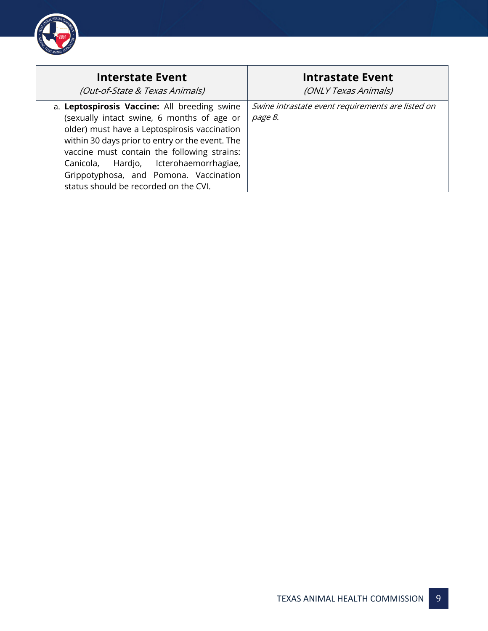

| <b>Interstate Event</b>                                                                                                                                                                                                                                                                                                                                                   | <b>Intrastate Event</b>                                      |
|---------------------------------------------------------------------------------------------------------------------------------------------------------------------------------------------------------------------------------------------------------------------------------------------------------------------------------------------------------------------------|--------------------------------------------------------------|
| (Out-of-State & Texas Animals)                                                                                                                                                                                                                                                                                                                                            | (ONLY Texas Animals)                                         |
| a. Leptospirosis Vaccine: All breeding swine<br>(sexually intact swine, 6 months of age or<br>older) must have a Leptospirosis vaccination<br>within 30 days prior to entry or the event. The<br>vaccine must contain the following strains:<br>Canicola, Hardjo, Icterohaemorrhagiae,<br>Grippotyphosa, and Pomona. Vaccination<br>status should be recorded on the CVI. | Swine intrastate event requirements are listed on<br>page 8. |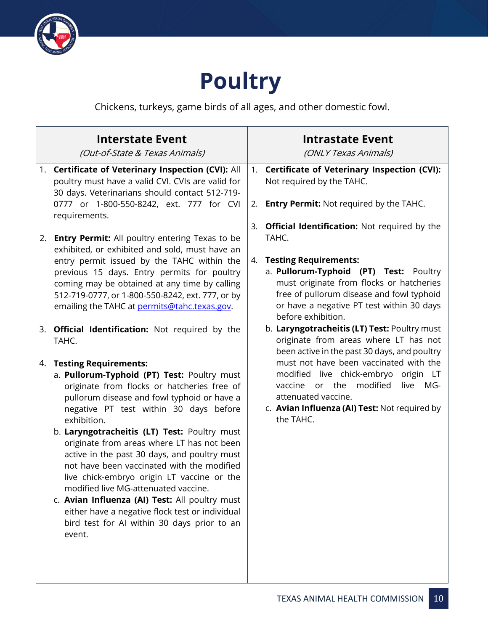

### **Poultry**

Chickens, turkeys, game birds of all ages, and other domestic fowl.

|    | <b>Interstate Event</b><br>(Out-of-State & Texas Animals)                                                                                                                                                                                                                                                                                                                                                                                    |    | <b>Intrastate Event</b><br>(ONLY Texas Animals)                                                                                                                                                    |
|----|----------------------------------------------------------------------------------------------------------------------------------------------------------------------------------------------------------------------------------------------------------------------------------------------------------------------------------------------------------------------------------------------------------------------------------------------|----|----------------------------------------------------------------------------------------------------------------------------------------------------------------------------------------------------|
|    | 1. Certificate of Veterinary Inspection (CVI): All<br>poultry must have a valid CVI. CVIs are valid for<br>30 days. Veterinarians should contact 512-719-                                                                                                                                                                                                                                                                                    | 1. | <b>Certificate of Veterinary Inspection (CVI):</b><br>Not required by the TAHC.                                                                                                                    |
|    | 0777 or 1-800-550-8242, ext. 777 for CVI<br>requirements.                                                                                                                                                                                                                                                                                                                                                                                    | 2. | <b>Entry Permit:</b> Not required by the TAHC.                                                                                                                                                     |
| 2. | <b>Entry Permit:</b> All poultry entering Texas to be                                                                                                                                                                                                                                                                                                                                                                                        | 3. | <b>Official Identification:</b> Not required by the<br>TAHC.                                                                                                                                       |
|    | exhibited, or exhibited and sold, must have an<br>entry permit issued by the TAHC within the                                                                                                                                                                                                                                                                                                                                                 | 4. | <b>Testing Requirements:</b>                                                                                                                                                                       |
|    | previous 15 days. Entry permits for poultry<br>coming may be obtained at any time by calling<br>512-719-0777, or 1-800-550-8242, ext. 777, or by<br>emailing the TAHC at permits@tahc.texas.gov.                                                                                                                                                                                                                                             |    | a. Pullorum-Typhoid (PT) Test: Poultry<br>must originate from flocks or hatcheries<br>free of pullorum disease and fowl typhoid<br>or have a negative PT test within 30 days<br>before exhibition. |
|    | 3. Official Identification: Not required by the<br>TAHC.                                                                                                                                                                                                                                                                                                                                                                                     |    | b. Laryngotracheitis (LT) Test: Poultry must<br>originate from areas where LT has not<br>been active in the past 30 days, and poultry                                                              |
| 4. | <b>Testing Requirements:</b>                                                                                                                                                                                                                                                                                                                                                                                                                 |    | must not have been vaccinated with the                                                                                                                                                             |
|    | a. Pullorum-Typhoid (PT) Test: Poultry must<br>originate from flocks or hatcheries free of<br>pullorum disease and fowl typhoid or have a<br>negative PT test within 30 days before<br>exhibition.                                                                                                                                                                                                                                           |    | modified live chick-embryo origin LT<br>modified<br>or the<br>live<br>MG-<br>vaccine<br>attenuated vaccine.<br>c. Avian Influenza (AI) Test: Not required by<br>the TAHC.                          |
|    | b. Laryngotracheitis (LT) Test: Poultry must<br>originate from areas where LT has not been<br>active in the past 30 days, and poultry must<br>not have been vaccinated with the modified<br>live chick-embryo origin LT vaccine or the<br>modified live MG-attenuated vaccine.<br>c. Avian Influenza (AI) Test: All poultry must<br>either have a negative flock test or individual<br>bird test for Al within 30 days prior to an<br>event. |    |                                                                                                                                                                                                    |
|    |                                                                                                                                                                                                                                                                                                                                                                                                                                              |    |                                                                                                                                                                                                    |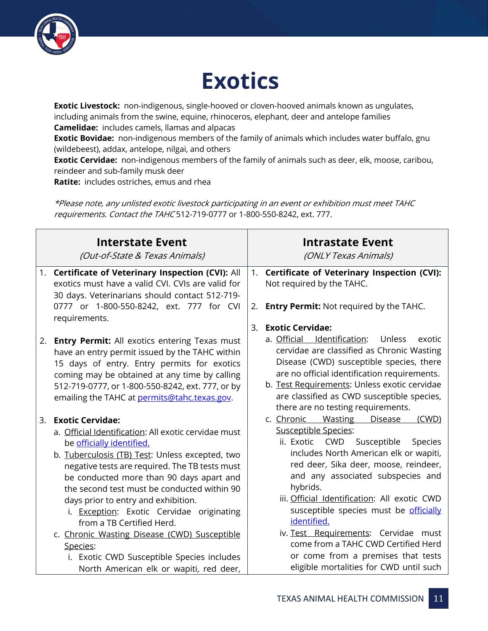

### **Exotics**

**Exotic Livestock:** non-indigenous, single-hooved or cloven-hooved animals known as ungulates, including animals from the swine, equine, rhinoceros, elephant, deer and antelope families **Camelidae:** includes camels, llamas and alpacas

**Exotic Bovidae:** non-indigenous members of the family of animals which includes water buffalo, gnu (wildebeest), addax, antelope, nilgai, and others

**Exotic Cervidae:** non-indigenous members of the family of animals such as deer, elk, moose, caribou, reindeer and sub-family musk deer

**Ratite:** includes ostriches, emus and rhea

\*Please note, any unlisted exotic livestock participating in an event or exhibition must meet TAHC requirements. Contact the TAHC 512-719-0777 or 1-800-550-8242, ext. 777.

|    | <b>Interstate Event</b><br>(Out-of-State & Texas Animals)                                                                                                                                                                                                                                                                                                                                                                                                                                                                                               |    | <b>Intrastate Event</b><br>(ONLY Texas Animals)                                                                                                                                                                                                                                                                                                                                                                                                                            |
|----|---------------------------------------------------------------------------------------------------------------------------------------------------------------------------------------------------------------------------------------------------------------------------------------------------------------------------------------------------------------------------------------------------------------------------------------------------------------------------------------------------------------------------------------------------------|----|----------------------------------------------------------------------------------------------------------------------------------------------------------------------------------------------------------------------------------------------------------------------------------------------------------------------------------------------------------------------------------------------------------------------------------------------------------------------------|
|    | 1. Certificate of Veterinary Inspection (CVI): All<br>exotics must have a valid CVI. CVIs are valid for<br>30 days. Veterinarians should contact 512-719-                                                                                                                                                                                                                                                                                                                                                                                               | 1. | Certificate of Veterinary Inspection (CVI):<br>Not required by the TAHC.                                                                                                                                                                                                                                                                                                                                                                                                   |
|    | 0777 or 1-800-550-8242, ext. 777 for CVI<br>requirements.                                                                                                                                                                                                                                                                                                                                                                                                                                                                                               | 2. | <b>Entry Permit: Not required by the TAHC.</b>                                                                                                                                                                                                                                                                                                                                                                                                                             |
|    |                                                                                                                                                                                                                                                                                                                                                                                                                                                                                                                                                         | 3. | <b>Exotic Cervidae:</b>                                                                                                                                                                                                                                                                                                                                                                                                                                                    |
| 2. | Entry Permit: All exotics entering Texas must<br>have an entry permit issued by the TAHC within<br>15 days of entry. Entry permits for exotics<br>coming may be obtained at any time by calling<br>512-719-0777, or 1-800-550-8242, ext. 777, or by<br>emailing the TAHC at permits@tahc.texas.gov.                                                                                                                                                                                                                                                     |    | a. Official Identification:<br>Unless<br>exotic<br>cervidae are classified as Chronic Wasting<br>Disease (CWD) susceptible species, there<br>are no official identification requirements.<br>b. Test Requirements: Unless exotic cervidae<br>are classified as CWD susceptible species,<br>there are no testing requirements.                                                                                                                                              |
| 3. | <b>Exotic Cervidae:</b>                                                                                                                                                                                                                                                                                                                                                                                                                                                                                                                                 |    | c. Chronic Wasting<br><b>Disease</b><br>(CWD)                                                                                                                                                                                                                                                                                                                                                                                                                              |
|    | a. Official Identification: All exotic cervidae must<br>be officially identified.<br>b. Tuberculosis (TB) Test: Unless excepted, two<br>negative tests are required. The TB tests must<br>be conducted more than 90 days apart and<br>the second test must be conducted within 90<br>days prior to entry and exhibition.<br>i. Exception: Exotic Cervidae originating<br>from a TB Certified Herd.<br>c. Chronic Wasting Disease (CWD) Susceptible<br>Species:<br>i. Exotic CWD Susceptible Species includes<br>North American elk or wapiti, red deer, |    | Susceptible Species:<br>ii. Exotic CWD Susceptible<br>Species<br>includes North American elk or wapiti,<br>red deer, Sika deer, moose, reindeer,<br>and any associated subspecies and<br>hybrids.<br>iii. Official Identification: All exotic CWD<br>susceptible species must be officially<br>identified.<br>iv. Test Requirements: Cervidae must<br>come from a TAHC CWD Certified Herd<br>or come from a premises that tests<br>eligible mortalities for CWD until such |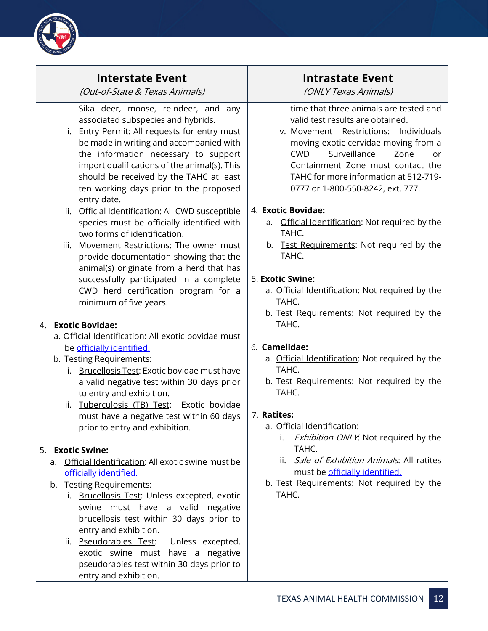

#### **Interstate Event**

(Out-of-State & Texas Animals)

Sika deer, moose, reindeer, and any associated subspecies and hybrids.

- i. Entry Permit: All requests for entry must be made in writing and accompanied with the information necessary to support import qualifications of the animal(s). This should be received by the TAHC at least ten working days prior to the proposed entry date.
- ii. Official Identification: All CWD susceptible species must be officially identified with two forms of identification.

iii. Movement Restrictions: The owner must provide documentation showing that the animal(s) originate from a herd that has successfully participated in a complete CWD herd certification program for a minimum of five years.

#### 4. **Exotic Bovidae:**

- a. Official Identification: All exotic bovidae must be [officially identified.](https://www.tahc.texas.gov/adt/pdf/ADT_OfficialIdentification.pdf)
- b. Testing Requirements:
	- i. Brucellosis Test: Exotic bovidae must have a valid negative test within 30 days prior to entry and exhibition.
	- ii. Tuberculosis (TB) Test: Exotic bovidae must have a negative test within 60 days prior to entry and exhibition.

#### 5. **Exotic Swine:**

- a. Official Identification: All exotic swine must be [officially identified.](https://www.tahc.texas.gov/adt/pdf/ADT_OfficialIdentification.pdf)
- b. Testing Requirements:
	- i. Brucellosis Test: Unless excepted, exotic swine must have a valid negative brucellosis test within 30 days prior to entry and exhibition.
	- ii. Pseudorabies Test: Unless excepted, exotic swine must have a negative pseudorabies test within 30 days prior to entry and exhibition.

### **Intrastate Event**

(ONLY Texas Animals)

time that three animals are tested and valid test results are obtained.

v. Movement Restrictions: Individuals moving exotic cervidae moving from a CWD Surveillance Zone or Containment Zone must contact the TAHC for more information at 512-719- 0777 or 1-800-550-8242, ext. 777.

#### 4. **Exotic Bovidae:**

- a. Official Identification: Not required by the TAHC.
- b. Test Requirements: Not required by the TAHC.

#### 5. **Exotic Swine:**

- a. Official Identification: Not required by the TAHC.
- b. Test Requirements: Not required by the TAHC.

#### 6. **Camelidae:**

- a. Official Identification: Not required by the TAHC.
- b. Test Requirements: Not required by the TAHC.

#### 7. **Ratites:**

- a. Official Identification:
	- i. *Exhibition ONLY*: Not required by the TAHC.
	- ii. Sale of Exhibition Animals. All ratites must be [officially identified.](https://www.tahc.texas.gov/adt/pdf/ADT_OfficialIdentification.pdf)
- b. Test Requirements: Not required by the TAHC.